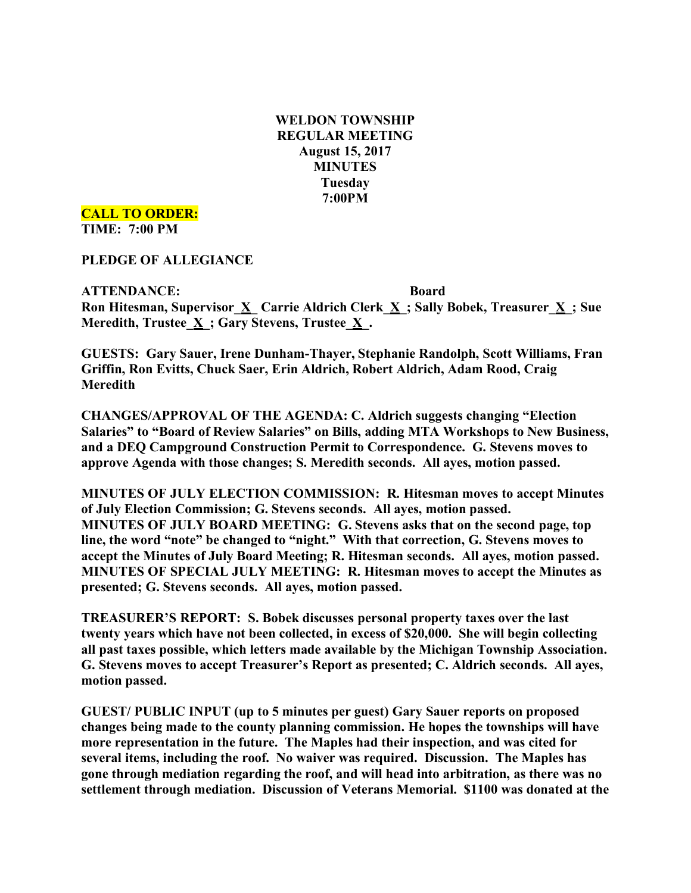**WELDON TOWNSHIP REGULAR MEETING August 15, 2017 MINUTES Tuesday 7:00PM**

**CALL TO ORDER: TIME: 7:00 PM**

**PLEDGE OF ALLEGIANCE**

**ATTENDANCE: Board Ron Hitesman, Supervisor\_X\_ Carrie Aldrich Clerk\_X\_; Sally Bobek, Treasurer\_X\_; Sue Meredith, Trustee\_X\_; Gary Stevens, Trustee\_X\_.**

**GUESTS: Gary Sauer, Irene Dunham-Thayer, Stephanie Randolph, Scott Williams, Fran Griffin, Ron Evitts, Chuck Saer, Erin Aldrich, Robert Aldrich, Adam Rood, Craig Meredith**

**CHANGES/APPROVAL OF THE AGENDA: C. Aldrich suggests changing "Election Salaries" to "Board of Review Salaries" on Bills, adding MTA Workshops to New Business, and a DEQ Campground Construction Permit to Correspondence. G. Stevens moves to approve Agenda with those changes; S. Meredith seconds. All ayes, motion passed.**

**MINUTES OF JULY ELECTION COMMISSION: R. Hitesman moves to accept Minutes of July Election Commission; G. Stevens seconds. All ayes, motion passed. MINUTES OF JULY BOARD MEETING: G. Stevens asks that on the second page, top line, the word "note" be changed to "night." With that correction, G. Stevens moves to accept the Minutes of July Board Meeting; R. Hitesman seconds. All ayes, motion passed. MINUTES OF SPECIAL JULY MEETING: R. Hitesman moves to accept the Minutes as presented; G. Stevens seconds. All ayes, motion passed.**

**TREASURER'S REPORT: S. Bobek discusses personal property taxes over the last twenty years which have not been collected, in excess of \$20,000. She will begin collecting all past taxes possible, which letters made available by the Michigan Township Association. G. Stevens moves to accept Treasurer's Report as presented; C. Aldrich seconds. All ayes, motion passed.**

**GUEST/ PUBLIC INPUT (up to 5 minutes per guest) Gary Sauer reports on proposed changes being made to the county planning commission. He hopes the townships will have more representation in the future. The Maples had their inspection, and was cited for several items, including the roof. No waiver was required. Discussion. The Maples has gone through mediation regarding the roof, and will head into arbitration, as there was no settlement through mediation. Discussion of Veterans Memorial. \$1100 was donated at the**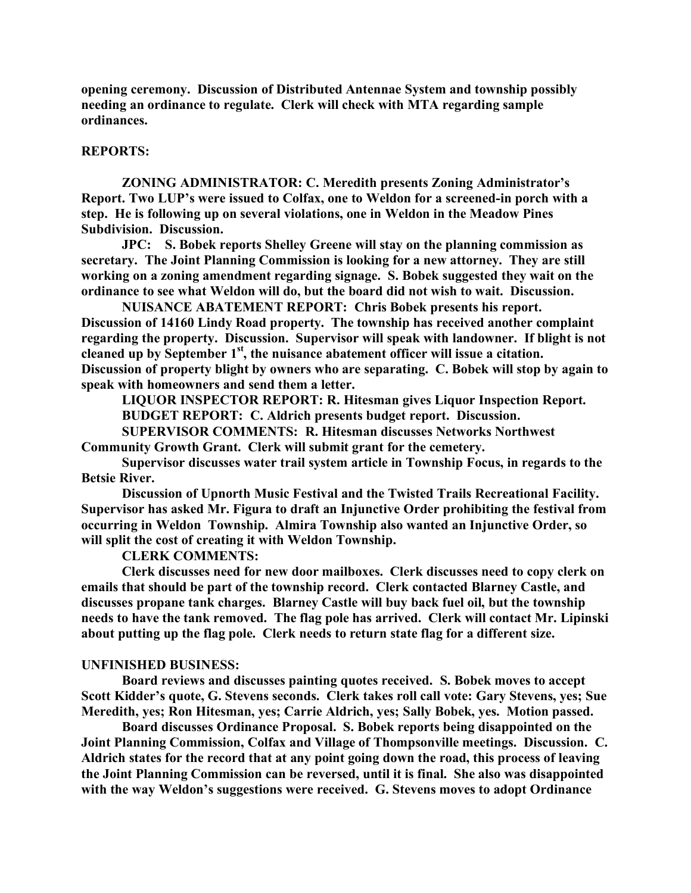**opening ceremony. Discussion of Distributed Antennae System and township possibly needing an ordinance to regulate. Clerk will check with MTA regarding sample ordinances.**

## **REPORTS:**

**ZONING ADMINISTRATOR: C. Meredith presents Zoning Administrator's Report. Two LUP's were issued to Colfax, one to Weldon for a screened-in porch with a step. He is following up on several violations, one in Weldon in the Meadow Pines Subdivision. Discussion.**

**JPC: S. Bobek reports Shelley Greene will stay on the planning commission as secretary. The Joint Planning Commission is looking for a new attorney. They are still working on a zoning amendment regarding signage. S. Bobek suggested they wait on the ordinance to see what Weldon will do, but the board did not wish to wait. Discussion.**

**NUISANCE ABATEMENT REPORT: Chris Bobek presents his report. Discussion of 14160 Lindy Road property. The township has received another complaint regarding the property. Discussion. Supervisor will speak with landowner. If blight is not cleaned up by September 1st , the nuisance abatement officer will issue a citation. Discussion of property blight by owners who are separating. C. Bobek will stop by again to speak with homeowners and send them a letter.**

**LIQUOR INSPECTOR REPORT: R. Hitesman gives Liquor Inspection Report. BUDGET REPORT: C. Aldrich presents budget report. Discussion.**

**SUPERVISOR COMMENTS: R. Hitesman discusses Networks Northwest Community Growth Grant. Clerk will submit grant for the cemetery.**

**Supervisor discusses water trail system article in Township Focus, in regards to the Betsie River.**

**Discussion of Upnorth Music Festival and the Twisted Trails Recreational Facility. Supervisor has asked Mr. Figura to draft an Injunctive Order prohibiting the festival from occurring in Weldon Township. Almira Township also wanted an Injunctive Order, so will split the cost of creating it with Weldon Township.**

**CLERK COMMENTS:**

**Clerk discusses need for new door mailboxes. Clerk discusses need to copy clerk on emails that should be part of the township record. Clerk contacted Blarney Castle, and discusses propane tank charges. Blarney Castle will buy back fuel oil, but the township needs to have the tank removed. The flag pole has arrived. Clerk will contact Mr. Lipinski about putting up the flag pole. Clerk needs to return state flag for a different size.**

## **UNFINISHED BUSINESS:**

**Board reviews and discusses painting quotes received. S. Bobek moves to accept Scott Kidder's quote, G. Stevens seconds. Clerk takes roll call vote: Gary Stevens, yes; Sue Meredith, yes; Ron Hitesman, yes; Carrie Aldrich, yes; Sally Bobek, yes. Motion passed.**

**Board discusses Ordinance Proposal. S. Bobek reports being disappointed on the Joint Planning Commission, Colfax and Village of Thompsonville meetings. Discussion. C. Aldrich states for the record that at any point going down the road, this process of leaving the Joint Planning Commission can be reversed, until it is final. She also was disappointed with the way Weldon's suggestions were received. G. Stevens moves to adopt Ordinance**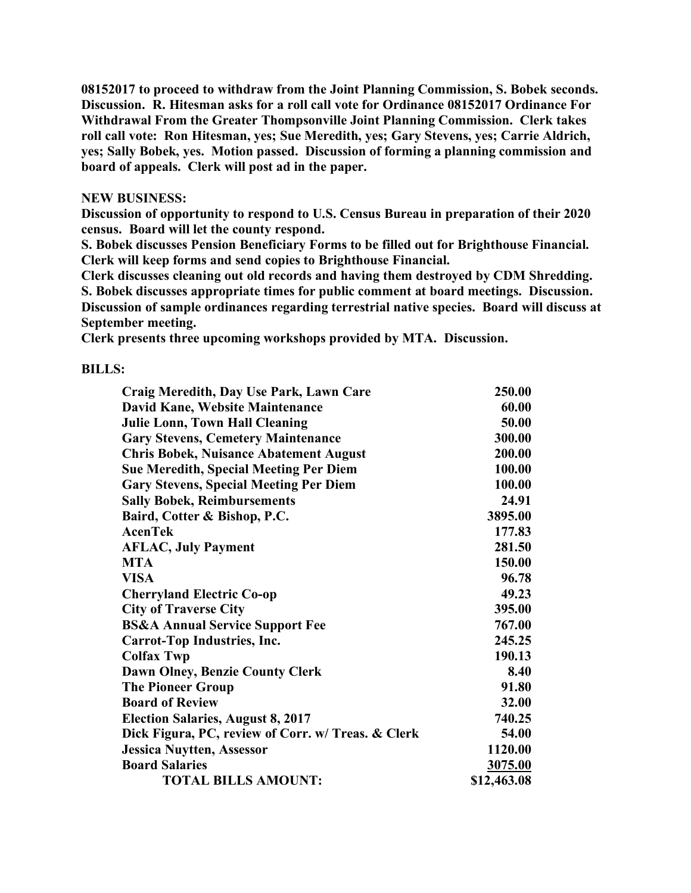**08152017 to proceed to withdraw from the Joint Planning Commission, S. Bobek seconds. Discussion. R. Hitesman asks for a roll call vote for Ordinance 08152017 Ordinance For Withdrawal From the Greater Thompsonville Joint Planning Commission. Clerk takes roll call vote: Ron Hitesman, yes; Sue Meredith, yes; Gary Stevens, yes; Carrie Aldrich, yes; Sally Bobek, yes. Motion passed. Discussion of forming a planning commission and board of appeals. Clerk will post ad in the paper.**

## **NEW BUSINESS:**

**Discussion of opportunity to respond to U.S. Census Bureau in preparation of their 2020 census. Board will let the county respond.**

**S. Bobek discusses Pension Beneficiary Forms to be filled out for Brighthouse Financial. Clerk will keep forms and send copies to Brighthouse Financial.**

**Clerk discusses cleaning out old records and having them destroyed by CDM Shredding. S. Bobek discusses appropriate times for public comment at board meetings. Discussion. Discussion of sample ordinances regarding terrestrial native species. Board will discuss at September meeting.**

**Clerk presents three upcoming workshops provided by MTA. Discussion.**

## **BILLS:**

| Craig Meredith, Day Use Park, Lawn Care            | 250.00      |
|----------------------------------------------------|-------------|
| David Kane, Website Maintenance                    | 60.00       |
| <b>Julie Lonn, Town Hall Cleaning</b>              | 50.00       |
| <b>Gary Stevens, Cemetery Maintenance</b>          | 300.00      |
| <b>Chris Bobek, Nuisance Abatement August</b>      | 200.00      |
| <b>Sue Meredith, Special Meeting Per Diem</b>      | 100.00      |
| <b>Gary Stevens, Special Meeting Per Diem</b>      | 100.00      |
| <b>Sally Bobek, Reimbursements</b>                 | 24.91       |
| Baird, Cotter & Bishop, P.C.                       | 3895.00     |
| <b>AcenTek</b>                                     | 177.83      |
| <b>AFLAC, July Payment</b>                         | 281.50      |
| <b>MTA</b>                                         | 150.00      |
| <b>VISA</b>                                        | 96.78       |
| <b>Cherryland Electric Co-op</b>                   | 49.23       |
| <b>City of Traverse City</b>                       | 395.00      |
| <b>BS&amp;A Annual Service Support Fee</b>         | 767.00      |
| Carrot-Top Industries, Inc.                        | 245.25      |
| <b>Colfax Twp</b>                                  | 190.13      |
| Dawn Olney, Benzie County Clerk                    | 8.40        |
| <b>The Pioneer Group</b>                           | 91.80       |
| <b>Board of Review</b>                             | 32.00       |
| <b>Election Salaries, August 8, 2017</b>           | 740.25      |
| Dick Figura, PC, review of Corr. w/ Treas. & Clerk | 54.00       |
| <b>Jessica Nuytten, Assessor</b>                   | 1120.00     |
| <b>Board Salaries</b>                              | 3075.00     |
| <b>TOTAL BILLS AMOUNT:</b>                         | \$12,463.08 |